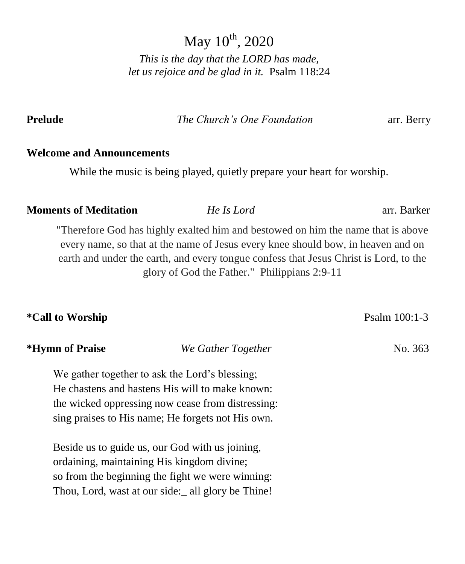May  $10^{th}$ , 2020

*This is the day that the LORD has made, let us rejoice and be glad in it.* Psalm 118:24

**Prelude** *The Church's One Foundation* arr. Berry

#### **Welcome and Announcements**

While the music is being played, quietly prepare your heart for worship.

#### **Moments of Meditation** *He Is Lord* arr. Barker

"Therefore God has highly exalted him and bestowed on him the name that is above every name, so that at the name of Jesus every knee should bow, in heaven and on earth and under the earth, and every tongue confess that Jesus Christ is Lord, to the glory of God the Father." Philippians 2:9-11

| <i><b>*Call to Worship</b></i> |                                                                                                                                                                                                             | Psalm 100:1-3 |
|--------------------------------|-------------------------------------------------------------------------------------------------------------------------------------------------------------------------------------------------------------|---------------|
| *Hymn of Praise                | We Gather Together                                                                                                                                                                                          | No. 363       |
|                                | We gather together to ask the Lord's blessing;<br>He chastens and hastens His will to make known:<br>the wicked oppressing now cease from distressing:<br>sing praises to His name; He forgets not His own. |               |
|                                | Beside us to guide us, our God with us joining,<br>ordaining, maintaining His kingdom divine;<br>so from the beginning the fight we were winning:<br>Thou, Lord, wast at our side: all glory be Thine!      |               |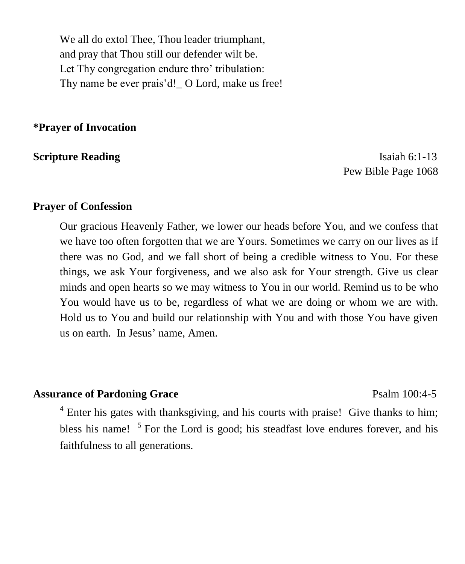We all do extol Thee, Thou leader triumphant, and pray that Thou still our defender wilt be. Let Thy congregation endure thro' tribulation: Thy name be ever prais'd!\_ O Lord, make us free!

**\*Prayer of Invocation** 

**Scripture Reading Isaiah 6:1-13** Pew Bible Page 1068

#### **Prayer of Confession**

Our gracious Heavenly Father, we lower our heads before You, and we confess that we have too often forgotten that we are Yours. Sometimes we carry on our lives as if there was no God, and we fall short of being a credible witness to You. For these things, we ask Your forgiveness, and we also ask for Your strength. Give us clear minds and open hearts so we may witness to You in our world. Remind us to be who You would have us to be, regardless of what we are doing or whom we are with. Hold us to You and build our relationship with You and with those You have given us on earth. In Jesus' name, Amen.

#### **Assurance of Pardoning Grace** Psalm 100:4-5

<sup>4</sup> Enter his gates with thanksgiving, and his courts with praise! Give thanks to him; bless his name!  $5$  For the Lord is good; his steadfast love endures forever, and his faithfulness to all generations.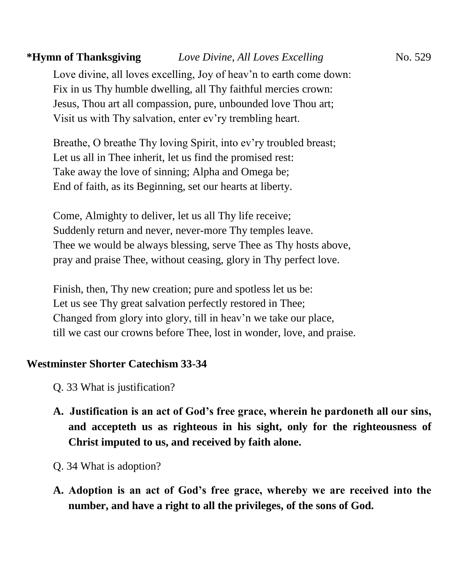## **\*Hymn of Thanksgiving** *Love Divine, All Loves Excelling* No. 529

Love divine, all loves excelling, Joy of heav'n to earth come down: Fix in us Thy humble dwelling, all Thy faithful mercies crown: Jesus, Thou art all compassion, pure, unbounded love Thou art; Visit us with Thy salvation, enter ev'ry trembling heart.

Breathe, O breathe Thy loving Spirit, into ev'ry troubled breast; Let us all in Thee inherit, let us find the promised rest: Take away the love of sinning; Alpha and Omega be; End of faith, as its Beginning, set our hearts at liberty.

Come, Almighty to deliver, let us all Thy life receive; Suddenly return and never, never-more Thy temples leave. Thee we would be always blessing, serve Thee as Thy hosts above, pray and praise Thee, without ceasing, glory in Thy perfect love.

Finish, then, Thy new creation; pure and spotless let us be: Let us see Thy great salvation perfectly restored in Thee; Changed from glory into glory, till in heav'n we take our place, till we cast our crowns before Thee, lost in wonder, love, and praise.

#### **Westminster Shorter Catechism 33-34**

- Q. 33 What is justification?
- **A. Justification is an act of God's free grace, wherein he pardoneth all our sins, and accepteth us as righteous in his sight, only for the righteousness of Christ imputed to us, and received by faith alone.**
- Q. 34 What is adoption?
- **A. Adoption is an act of God's free grace, whereby we are received into the number, and have a right to all the privileges, of the sons of God.**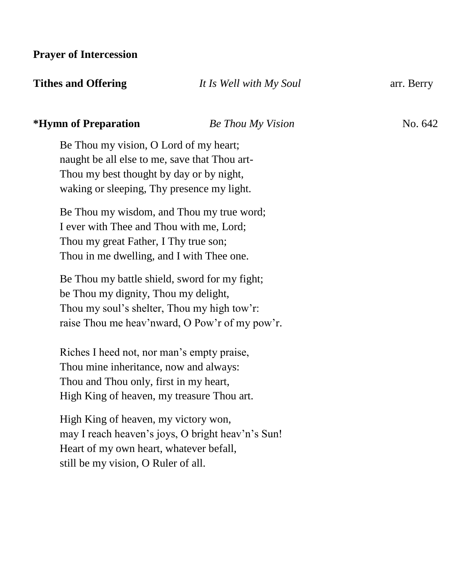**Prayer of Intercession**

| <b>Tithes and Offering</b> | It Is Well with My Soul | arr. Berry |
|----------------------------|-------------------------|------------|
|                            |                         |            |

#### **\*Hymn of Preparation** *Be Thou My Vision* No. 642

Be Thou my vision, O Lord of my heart; naught be all else to me, save that Thou art-Thou my best thought by day or by night, waking or sleeping, Thy presence my light.

Be Thou my wisdom, and Thou my true word; I ever with Thee and Thou with me, Lord; Thou my great Father, I Thy true son; Thou in me dwelling, and I with Thee one.

Be Thou my battle shield, sword for my fight; be Thou my dignity, Thou my delight, Thou my soul's shelter, Thou my high tow'r: raise Thou me heav'nward, O Pow'r of my pow'r.

Riches I heed not, nor man's empty praise, Thou mine inheritance, now and always: Thou and Thou only, first in my heart, High King of heaven, my treasure Thou art.

High King of heaven, my victory won, may I reach heaven's joys, O bright heav'n's Sun! Heart of my own heart, whatever befall, still be my vision, O Ruler of all.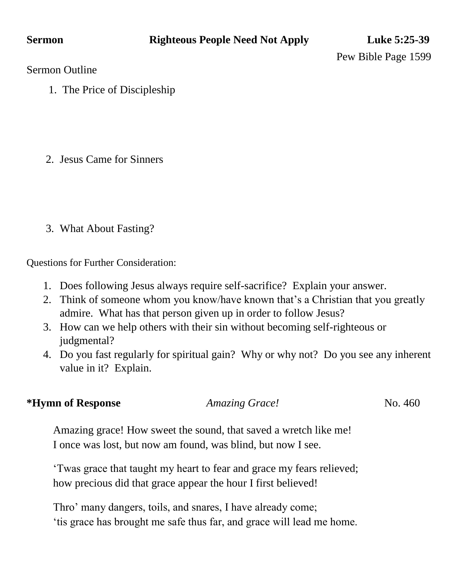Pew Bible Page 1599

Sermon Outline

1. The Price of Discipleship

2. Jesus Came for Sinners

3. What About Fasting?

Questions for Further Consideration:

- 1. Does following Jesus always require self-sacrifice? Explain your answer.
- 2. Think of someone whom you know/have known that's a Christian that you greatly admire. What has that person given up in order to follow Jesus?
- 3. How can we help others with their sin without becoming self-righteous or judgmental?
- 4. Do you fast regularly for spiritual gain? Why or why not? Do you see any inherent value in it? Explain.

## **\*Hymn of Response** *Amazing Grace!* No. 460

Amazing grace! How sweet the sound, that saved a wretch like me! I once was lost, but now am found, was blind, but now I see.

'Twas grace that taught my heart to fear and grace my fears relieved; how precious did that grace appear the hour I first believed!

Thro' many dangers, toils, and snares, I have already come; 'tis grace has brought me safe thus far, and grace will lead me home.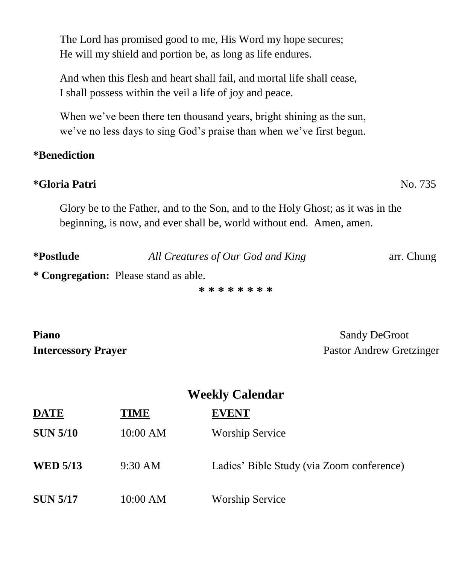The Lord has promised good to me, His Word my hope secures; He will my shield and portion be, as long as life endures.

And when this flesh and heart shall fail, and mortal life shall cease, I shall possess within the veil a life of joy and peace.

When we've been there ten thousand years, bright shining as the sun, we've no less days to sing God's praise than when we've first begun.

## **\*Benediction**

### **\*Gloria Patri** No. 735

Glory be to the Father, and to the Son, and to the Holy Ghost; as it was in the beginning, is now, and ever shall be, world without end. Amen, amen.

| <i>*Postlude</i> | All Creatures of Our God and King | arr. Chung |
|------------------|-----------------------------------|------------|
|                  |                                   |            |

**\* Congregation:** Please stand as able.

**\* \* \* \* \* \* \* \***

**Piano** Sandy DeGroot

**Intercessory Prayer** Pastor Andrew Gretzinger

| <b>Weekly Calendar</b> |             |                                           |  |
|------------------------|-------------|-------------------------------------------|--|
| <b>DATE</b>            | <b>TIME</b> | <b>EVENT</b>                              |  |
| <b>SUN 5/10</b>        | 10:00 AM    | <b>Worship Service</b>                    |  |
| <b>WED 5/13</b>        | 9:30 AM     | Ladies' Bible Study (via Zoom conference) |  |
| <b>SUN 5/17</b>        | 10:00 AM    | <b>Worship Service</b>                    |  |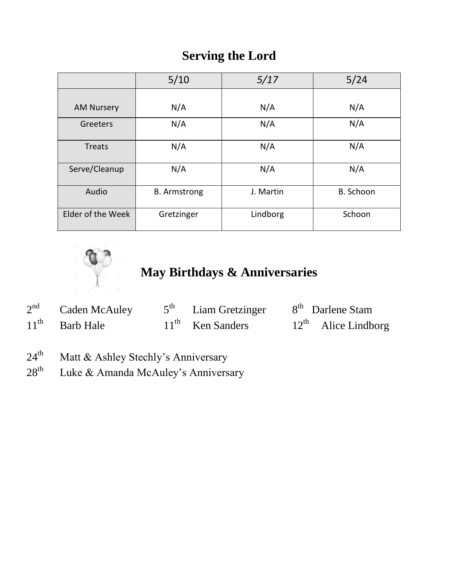## **Serving the Lord**

|                   | 5/10                | 5/17      | 5/24      |
|-------------------|---------------------|-----------|-----------|
|                   |                     |           |           |
| <b>AM Nursery</b> | N/A                 | N/A       | N/A       |
| Greeters          | N/A                 | N/A       | N/A       |
| Treats            | N/A                 | N/A       | N/A       |
| Serve/Cleanup     | N/A                 | N/A       | N/A       |
| Audio             | <b>B.</b> Armstrong | J. Martin | B. Schoon |
| Elder of the Week | Gretzinger          | Lindborg  | Schoon    |



# **May Birthdays & Anniversaries**

| 2 <sup>nd</sup> | Caden McAuley    | $5th$ Liam Gretzinger | 8 <sup>th</sup> Darlene Stam    |
|-----------------|------------------|-----------------------|---------------------------------|
|                 | $11th$ Barb Hale | $11th$ Ken Sanders    | $12^{\text{th}}$ Alice Lindborg |

- 24<sup>th</sup> Matt & Ashley Stechly's Anniversary
- $28<sup>th</sup>$  Luke & Amanda McAuley's Anniversary